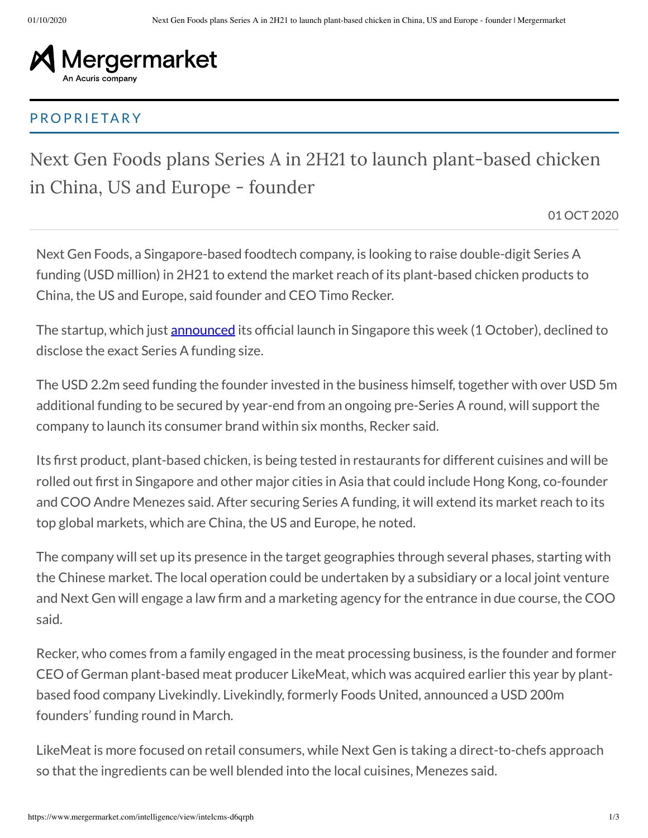

## PROPRIETARY

Next Gen Foods plans Series A in 2H21 to launch plant-based chicken in China, US and Europe - founder

01 OCT 2020

Next Gen Foods, a Singapore-based foodtech company, is looking to raise double-digit Series A funding (USD million) in 2H21 to extend the market reach of its plant-based chicken products to China, the US and Europe, said founder and CEO Timo Recker.

The startup, which just <u>announced</u> its official launch in Singapore this week (1 October), declined to disclose the exact Series A funding size.

The USD 2.2m seed funding the founder invested in the business himself, together with over USD 5m additional funding to be secured by year-end from an ongoing pre-Series A round, will support the company to launch its consumer brand within six months, Recker said.

Its first product, plant-based chicken, is being tested in restaurants for different cuisines and will be rolled out first in Singapore and other major cities in Asia that could include Hong Kong, co-founder and COO Andre Menezes said. After securing Series A funding, it will extend its market reach to its top global markets, which are China, the US and Europe, he noted.

The company will set up its presence in the target geographies through several phases, starting with the Chinese market. The local operation could be undertaken by a subsidiary or a local joint venture and Next Gen will engage a law firm and a marketing agency for the entrance in due course, the COO said.

Recker, who comes from a family engaged in the meat processing business, is the founder and former CEO of German plant-based meat producer LikeMeat, which was acquired earlier this year by plantbased food company Livekindly. Livekindly, formerly Foods United, announced a USD 200m founders' funding round in March.

LikeMeat is more focused on retail consumers, while Next Gen is taking a direct-to-chefs approach so that the ingredients can be well blended into the local cuisines, Menezes said.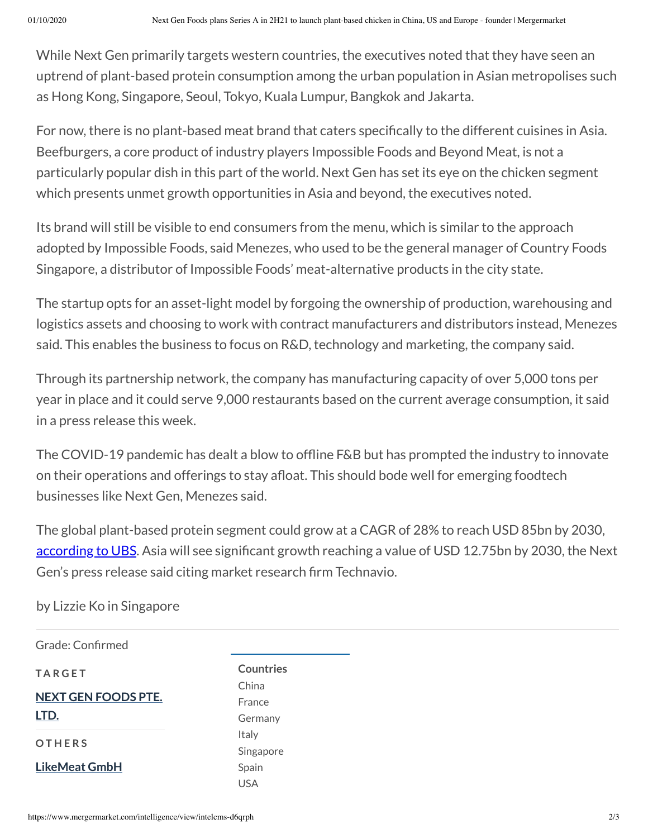While Next Gen primarily targets western countries, the executives noted that they have seen an uptrend of plant-based protein consumption among the urban population in Asian metropolises such as Hong Kong, Singapore, Seoul, Tokyo, Kuala Lumpur, Bangkok and Jakarta.

For now, there is no plant-based meat brand that caters specifically to the different cuisines in Asia. Beefburgers, a core product of industry players Impossible Foods and Beyond Meat, is not a particularly popular dish in this part of the world. Next Gen has set its eye on the chicken segment which presents unmet growth opportunities in Asia and beyond, the executives noted.

Its brand will still be visible to end consumers from the menu, which is similar to the approach adopted by Impossible Foods, said Menezes, who used to be the general manager of Country Foods Singapore, a distributor of Impossible Foods' meat-alternative products in the city state.

The startup opts for an asset-light model by forgoing the ownership of production, warehousing and logistics assets and choosing to work with contract manufacturers and distributors instead, Menezes said. This enables the business to focus on R&D, technology and marketing, the company said.

Through its partnership network, the company has manufacturing capacity of over 5,000 tons per year in place and it could serve 9,000 restaurants based on the current average consumption, it said in a press release this week.

The COVID-19 pandemic has dealt a blow to offline F&B but has prompted the industry to innovate on their operations and offerings to stay afloat. This should bode well for emerging foodtech businesses like Next Gen, Menezes said.

The global plant-based protein segment could grow at a CAGR of 28% to reach USD 85bn by 2030, according to UBS. Asia will see significant growth reaching a value of USD 12.75bn by 2030, the Next Gen's press release said citing market research firm Technavio.

by Lizzie Ko in Singapore

Grade: Confirmed **TA R G E T NEXT GEN FOODS PTE. LTD. O T H E R S LikeMeat GmbH**

**Countries** China France Germany Italy Singapore Spain USA